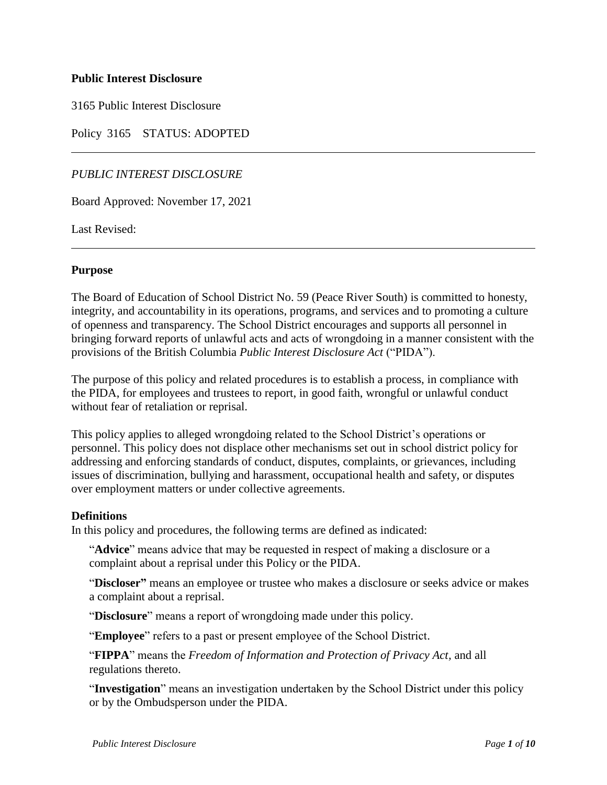### **Public Interest Disclosure**

3165 Public Interest Disclosure

Policy 3165 STATUS: ADOPTED

# *PUBLIC INTEREST DISCLOSURE*

Board Approved: November 17, 2021

Last Revised:

#### **Purpose**

The Board of Education of School District No. 59 (Peace River South) is committed to honesty, integrity, and accountability in its operations, programs, and services and to promoting a culture of openness and transparency. The School District encourages and supports all personnel in bringing forward reports of unlawful acts and acts of wrongdoing in a manner consistent with the provisions of the British Columbia *Public Interest Disclosure Act* ("PIDA").

The purpose of this policy and related procedures is to establish a process, in compliance with the PIDA, for employees and trustees to report, in good faith, wrongful or unlawful conduct without fear of retaliation or reprisal.

This policy applies to alleged wrongdoing related to the School District's operations or personnel. This policy does not displace other mechanisms set out in school district policy for addressing and enforcing standards of conduct, disputes, complaints, or grievances, including issues of discrimination, bullying and harassment, occupational health and safety, or disputes over employment matters or under collective agreements.

#### **Definitions**

In this policy and procedures, the following terms are defined as indicated:

"**Advice**" means advice that may be requested in respect of making a disclosure or a complaint about a reprisal under this Policy or the PIDA.

"**Discloser"** means an employee or trustee who makes a disclosure or seeks advice or makes a complaint about a reprisal.

"**Disclosure**" means a report of wrongdoing made under this policy.

"**Employee**" refers to a past or present employee of the School District.

"**FIPPA**" means the *Freedom of Information and Protection of Privacy Act,* and all regulations thereto.

"**Investigation**" means an investigation undertaken by the School District under this policy or by the Ombudsperson under the PIDA.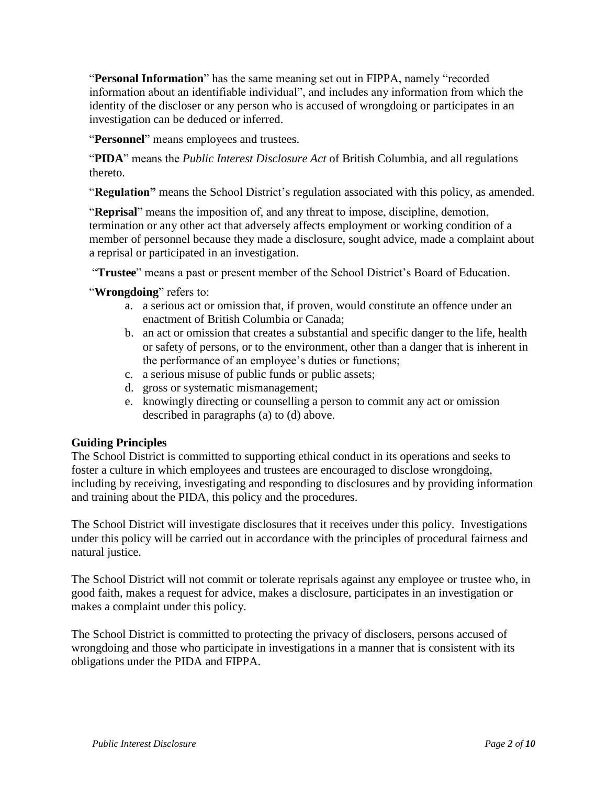"**Personal Information**" has the same meaning set out in FIPPA, namely "recorded information about an identifiable individual", and includes any information from which the identity of the discloser or any person who is accused of wrongdoing or participates in an investigation can be deduced or inferred.

"**Personnel**" means employees and trustees.

"**PIDA**" means the *Public Interest Disclosure Act* of British Columbia, and all regulations thereto.

"**Regulation"** means the School District's regulation associated with this policy, as amended.

"**Reprisal**" means the imposition of, and any threat to impose, discipline, demotion, termination or any other act that adversely affects employment or working condition of a member of personnel because they made a disclosure, sought advice, made a complaint about a reprisal or participated in an investigation.

"**Trustee**" means a past or present member of the School District's Board of Education.

"**Wrongdoing**" refers to:

- a. a serious act or omission that, if proven, would constitute an offence under an enactment of British Columbia or Canada;
- b. an act or omission that creates a substantial and specific danger to the life, health or safety of persons, or to the environment, other than a danger that is inherent in the performance of an employee's duties or functions;
- c. a serious misuse of public funds or public assets;
- d. gross or systematic mismanagement;
- e. knowingly directing or counselling a person to commit any act or omission described in paragraphs (a) to (d) above.

# **Guiding Principles**

The School District is committed to supporting ethical conduct in its operations and seeks to foster a culture in which employees and trustees are encouraged to disclose wrongdoing, including by receiving, investigating and responding to disclosures and by providing information and training about the PIDA, this policy and the procedures.

The School District will investigate disclosures that it receives under this policy. Investigations under this policy will be carried out in accordance with the principles of procedural fairness and natural justice.

The School District will not commit or tolerate reprisals against any employee or trustee who, in good faith, makes a request for advice, makes a disclosure, participates in an investigation or makes a complaint under this policy.

The School District is committed to protecting the privacy of disclosers, persons accused of wrongdoing and those who participate in investigations in a manner that is consistent with its obligations under the PIDA and FIPPA.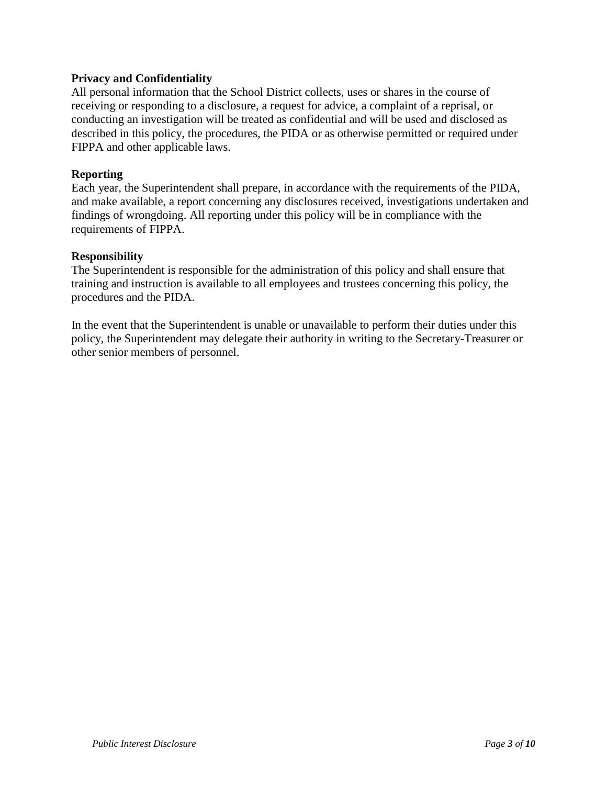### **Privacy and Confidentiality**

All personal information that the School District collects, uses or shares in the course of receiving or responding to a disclosure, a request for advice, a complaint of a reprisal, or conducting an investigation will be treated as confidential and will be used and disclosed as described in this policy, the procedures, the PIDA or as otherwise permitted or required under FIPPA and other applicable laws.

#### **Reporting**

Each year, the Superintendent shall prepare, in accordance with the requirements of the PIDA, and make available, a report concerning any disclosures received, investigations undertaken and findings of wrongdoing. All reporting under this policy will be in compliance with the requirements of FIPPA.

#### **Responsibility**

The Superintendent is responsible for the administration of this policy and shall ensure that training and instruction is available to all employees and trustees concerning this policy, the procedures and the PIDA.

In the event that the Superintendent is unable or unavailable to perform their duties under this policy, the Superintendent may delegate their authority in writing to the Secretary-Treasurer or other senior members of personnel.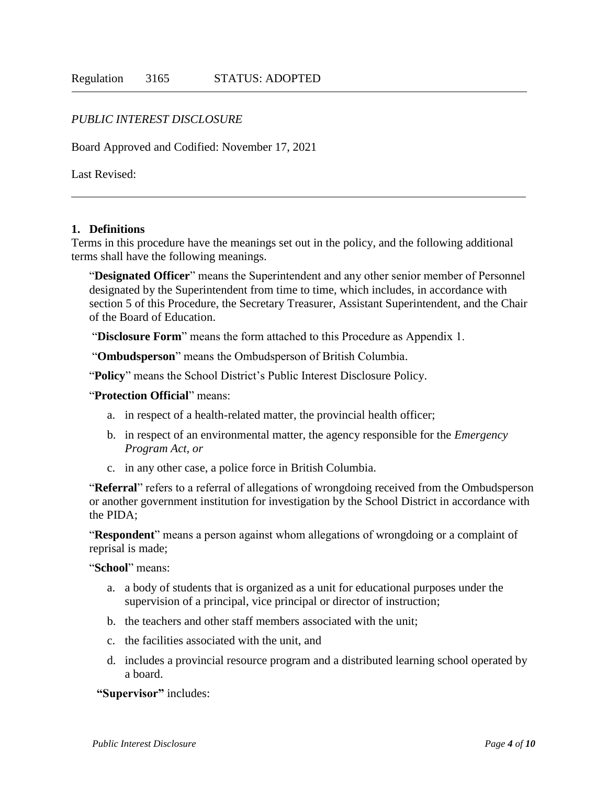## *PUBLIC INTEREST DISCLOSURE*

Board Approved and Codified: November 17, 2021

Last Revised:

#### **1. Definitions**

Terms in this procedure have the meanings set out in the policy, and the following additional terms shall have the following meanings.

"**Designated Officer**" means the Superintendent and any other senior member of Personnel designated by the Superintendent from time to time, which includes, in accordance with section 5 of this Procedure, the Secretary Treasurer, Assistant Superintendent, and the Chair of the Board of Education.

"**Disclosure Form**" means the form attached to this Procedure as Appendix 1.

"**Ombudsperson**" means the Ombudsperson of British Columbia.

"**Policy**" means the School District's Public Interest Disclosure Policy.

"**Protection Official**" means:

- a. in respect of a health-related matter, the provincial health officer;
- b. in respect of an environmental matter, the agency responsible for the *Emergency Program Act, or*
- c. in any other case, a police force in British Columbia.

"**Referral**" refers to a referral of allegations of wrongdoing received from the Ombudsperson or another government institution for investigation by the School District in accordance with the PIDA;

"**Respondent**" means a person against whom allegations of wrongdoing or a complaint of reprisal is made;

"**School**" means:

- a. a body of students that is organized as a unit for educational purposes under the supervision of a principal, vice principal or director of instruction;
- b. the teachers and other staff members associated with the unit;
- c. the facilities associated with the unit, and
- d. includes a provincial resource program and a distributed learning school operated by a board.

**"Supervisor"** includes: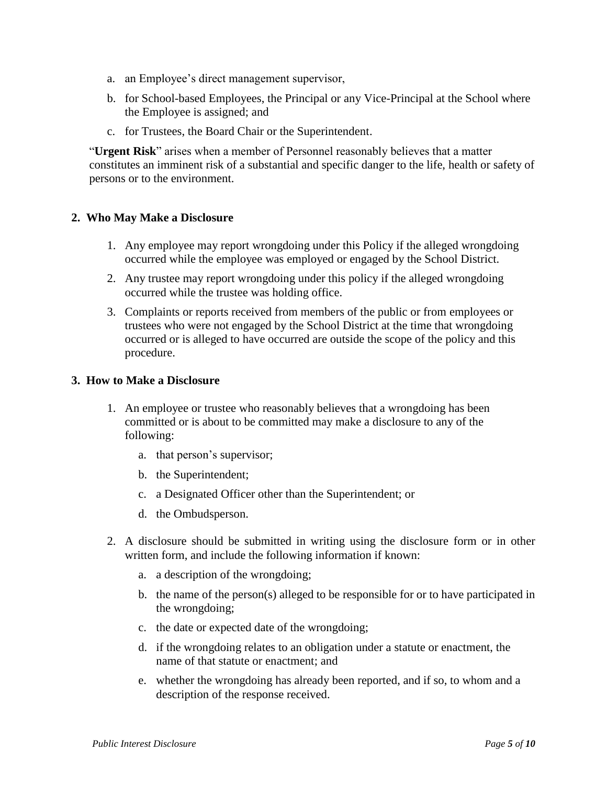- a. an Employee's direct management supervisor,
- b. for School-based Employees, the Principal or any Vice-Principal at the School where the Employee is assigned; and
- c. for Trustees, the Board Chair or the Superintendent.

"**Urgent Risk**" arises when a member of Personnel reasonably believes that a matter constitutes an imminent risk of a substantial and specific danger to the life, health or safety of persons or to the environment.

#### **2. Who May Make a Disclosure**

- 1. Any employee may report wrongdoing under this Policy if the alleged wrongdoing occurred while the employee was employed or engaged by the School District.
- 2. Any trustee may report wrongdoing under this policy if the alleged wrongdoing occurred while the trustee was holding office.
- 3. Complaints or reports received from members of the public or from employees or trustees who were not engaged by the School District at the time that wrongdoing occurred or is alleged to have occurred are outside the scope of the policy and this procedure.

#### **3. How to Make a Disclosure**

- 1. An employee or trustee who reasonably believes that a wrongdoing has been committed or is about to be committed may make a disclosure to any of the following:
	- a. that person's supervisor;
	- b. the Superintendent;
	- c. a Designated Officer other than the Superintendent; or
	- d. the Ombudsperson.
- 2. A disclosure should be submitted in writing using the disclosure form or in other written form, and include the following information if known:
	- a. a description of the wrongdoing;
	- b. the name of the person(s) alleged to be responsible for or to have participated in the wrongdoing;
	- c. the date or expected date of the wrongdoing;
	- d. if the wrongdoing relates to an obligation under a statute or enactment, the name of that statute or enactment; and
	- e. whether the wrongdoing has already been reported, and if so, to whom and a description of the response received.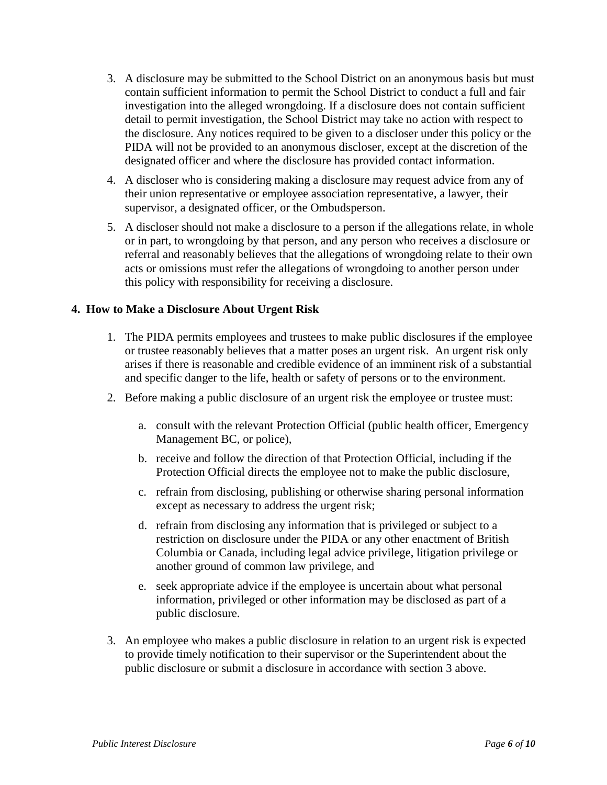- 3. A disclosure may be submitted to the School District on an anonymous basis but must contain sufficient information to permit the School District to conduct a full and fair investigation into the alleged wrongdoing. If a disclosure does not contain sufficient detail to permit investigation, the School District may take no action with respect to the disclosure. Any notices required to be given to a discloser under this policy or the PIDA will not be provided to an anonymous discloser, except at the discretion of the designated officer and where the disclosure has provided contact information.
- 4. A discloser who is considering making a disclosure may request advice from any of their union representative or employee association representative, a lawyer, their supervisor, a designated officer, or the Ombudsperson.
- 5. A discloser should not make a disclosure to a person if the allegations relate, in whole or in part, to wrongdoing by that person, and any person who receives a disclosure or referral and reasonably believes that the allegations of wrongdoing relate to their own acts or omissions must refer the allegations of wrongdoing to another person under this policy with responsibility for receiving a disclosure.

## **4. How to Make a Disclosure About Urgent Risk**

- 1. The PIDA permits employees and trustees to make public disclosures if the employee or trustee reasonably believes that a matter poses an urgent risk. An urgent risk only arises if there is reasonable and credible evidence of an imminent risk of a substantial and specific danger to the life, health or safety of persons or to the environment.
- 2. Before making a public disclosure of an urgent risk the employee or trustee must:
	- a. consult with the relevant Protection Official (public health officer, Emergency Management BC, or police),
	- b. receive and follow the direction of that Protection Official, including if the Protection Official directs the employee not to make the public disclosure,
	- c. refrain from disclosing, publishing or otherwise sharing personal information except as necessary to address the urgent risk;
	- d. refrain from disclosing any information that is privileged or subject to a restriction on disclosure under the PIDA or any other enactment of British Columbia or Canada, including legal advice privilege, litigation privilege or another ground of common law privilege, and
	- e. seek appropriate advice if the employee is uncertain about what personal information, privileged or other information may be disclosed as part of a public disclosure.
- 3. An employee who makes a public disclosure in relation to an urgent risk is expected to provide timely notification to their supervisor or the Superintendent about the public disclosure or submit a disclosure in accordance with section 3 above.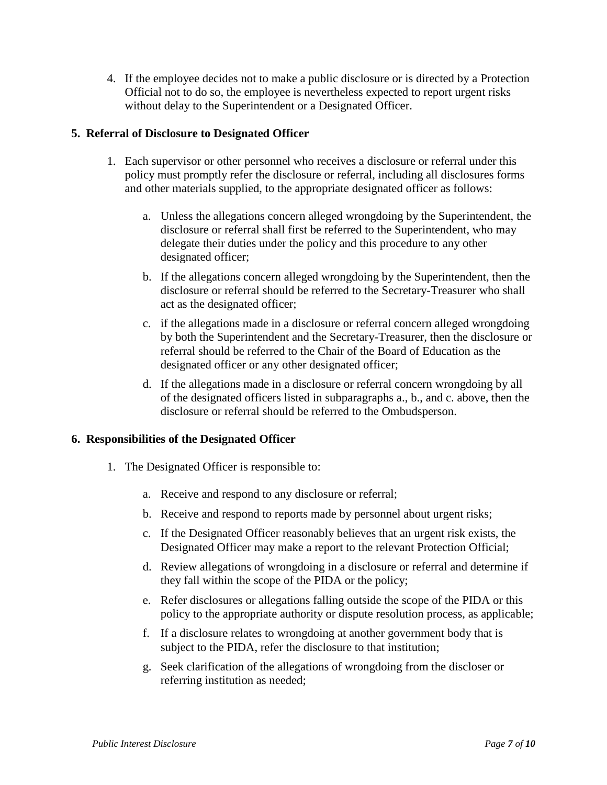4. If the employee decides not to make a public disclosure or is directed by a Protection Official not to do so, the employee is nevertheless expected to report urgent risks without delay to the Superintendent or a Designated Officer.

## **5. Referral of Disclosure to Designated Officer**

- 1. Each supervisor or other personnel who receives a disclosure or referral under this policy must promptly refer the disclosure or referral, including all disclosures forms and other materials supplied, to the appropriate designated officer as follows:
	- a. Unless the allegations concern alleged wrongdoing by the Superintendent, the disclosure or referral shall first be referred to the Superintendent, who may delegate their duties under the policy and this procedure to any other designated officer;
	- b. If the allegations concern alleged wrongdoing by the Superintendent, then the disclosure or referral should be referred to the Secretary-Treasurer who shall act as the designated officer;
	- c. if the allegations made in a disclosure or referral concern alleged wrongdoing by both the Superintendent and the Secretary-Treasurer, then the disclosure or referral should be referred to the Chair of the Board of Education as the designated officer or any other designated officer;
	- d. If the allegations made in a disclosure or referral concern wrongdoing by all of the designated officers listed in subparagraphs a., b., and c. above, then the disclosure or referral should be referred to the Ombudsperson.

#### **6. Responsibilities of the Designated Officer**

- 1. The Designated Officer is responsible to:
	- a. Receive and respond to any disclosure or referral;
	- b. Receive and respond to reports made by personnel about urgent risks;
	- c. If the Designated Officer reasonably believes that an urgent risk exists, the Designated Officer may make a report to the relevant Protection Official;
	- d. Review allegations of wrongdoing in a disclosure or referral and determine if they fall within the scope of the PIDA or the policy;
	- e. Refer disclosures or allegations falling outside the scope of the PIDA or this policy to the appropriate authority or dispute resolution process, as applicable;
	- f. If a disclosure relates to wrongdoing at another government body that is subject to the PIDA, refer the disclosure to that institution;
	- g. Seek clarification of the allegations of wrongdoing from the discloser or referring institution as needed;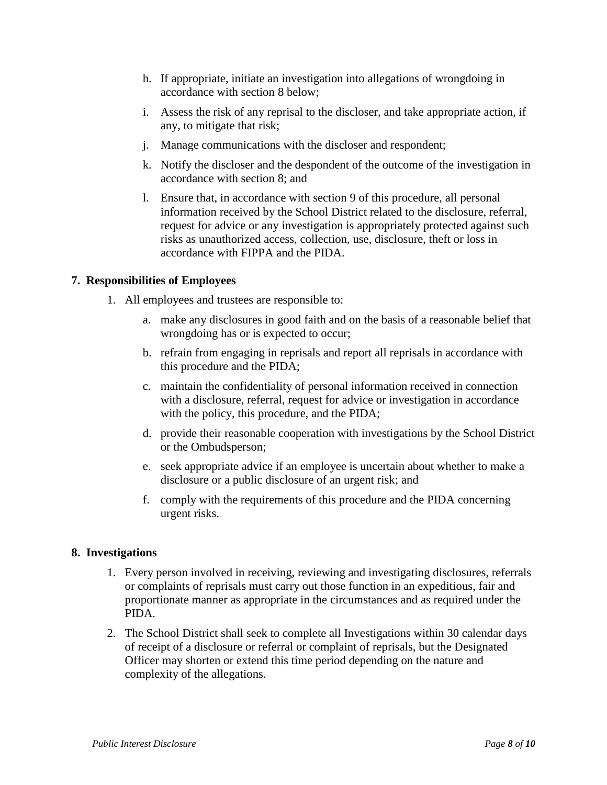- h. If appropriate, initiate an investigation into allegations of wrongdoing in accordance with section 8 below;
- i. Assess the risk of any reprisal to the discloser, and take appropriate action, if any, to mitigate that risk;
- j. Manage communications with the discloser and respondent;
- k. Notify the discloser and the despondent of the outcome of the investigation in accordance with section 8; and
- l. Ensure that, in accordance with section 9 of this procedure, all personal information received by the School District related to the disclosure, referral, request for advice or any investigation is appropriately protected against such risks as unauthorized access, collection, use, disclosure, theft or loss in accordance with FIPPA and the PIDA.

## **7. Responsibilities of Employees**

- 1. All employees and trustees are responsible to:
	- a. make any disclosures in good faith and on the basis of a reasonable belief that wrongdoing has or is expected to occur;
	- b. refrain from engaging in reprisals and report all reprisals in accordance with this procedure and the PIDA;
	- c. maintain the confidentiality of personal information received in connection with a disclosure, referral, request for advice or investigation in accordance with the policy, this procedure, and the PIDA;
	- d. provide their reasonable cooperation with investigations by the School District or the Ombudsperson;
	- e. seek appropriate advice if an employee is uncertain about whether to make a disclosure or a public disclosure of an urgent risk; and
	- f. comply with the requirements of this procedure and the PIDA concerning urgent risks.

#### **8. Investigations**

- 1. Every person involved in receiving, reviewing and investigating disclosures, referrals or complaints of reprisals must carry out those function in an expeditious, fair and proportionate manner as appropriate in the circumstances and as required under the PIDA.
- 2. The School District shall seek to complete all Investigations within 30 calendar days of receipt of a disclosure or referral or complaint of reprisals, but the Designated Officer may shorten or extend this time period depending on the nature and complexity of the allegations.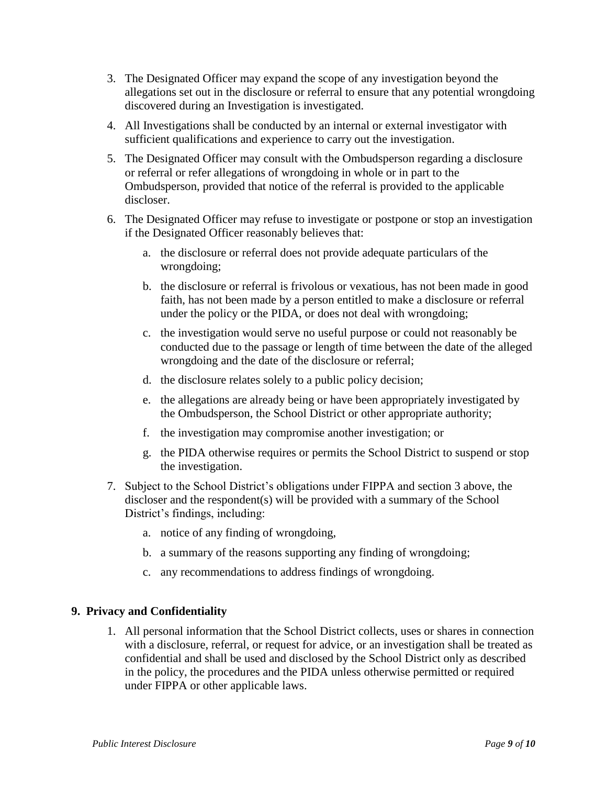- 3. The Designated Officer may expand the scope of any investigation beyond the allegations set out in the disclosure or referral to ensure that any potential wrongdoing discovered during an Investigation is investigated.
- 4. All Investigations shall be conducted by an internal or external investigator with sufficient qualifications and experience to carry out the investigation.
- 5. The Designated Officer may consult with the Ombudsperson regarding a disclosure or referral or refer allegations of wrongdoing in whole or in part to the Ombudsperson, provided that notice of the referral is provided to the applicable discloser.
- 6. The Designated Officer may refuse to investigate or postpone or stop an investigation if the Designated Officer reasonably believes that:
	- a. the disclosure or referral does not provide adequate particulars of the wrongdoing;
	- b. the disclosure or referral is frivolous or vexatious, has not been made in good faith, has not been made by a person entitled to make a disclosure or referral under the policy or the PIDA, or does not deal with wrongdoing;
	- c. the investigation would serve no useful purpose or could not reasonably be conducted due to the passage or length of time between the date of the alleged wrongdoing and the date of the disclosure or referral;
	- d. the disclosure relates solely to a public policy decision;
	- e. the allegations are already being or have been appropriately investigated by the Ombudsperson, the School District or other appropriate authority;
	- f. the investigation may compromise another investigation; or
	- g. the PIDA otherwise requires or permits the School District to suspend or stop the investigation.
- 7. Subject to the School District's obligations under FIPPA and section 3 above, the discloser and the respondent(s) will be provided with a summary of the School District's findings, including:
	- a. notice of any finding of wrongdoing,
	- b. a summary of the reasons supporting any finding of wrongdoing;
	- c. any recommendations to address findings of wrongdoing.

# **9. Privacy and Confidentiality**

1. All personal information that the School District collects, uses or shares in connection with a disclosure, referral, or request for advice, or an investigation shall be treated as confidential and shall be used and disclosed by the School District only as described in the policy, the procedures and the PIDA unless otherwise permitted or required under FIPPA or other applicable laws.